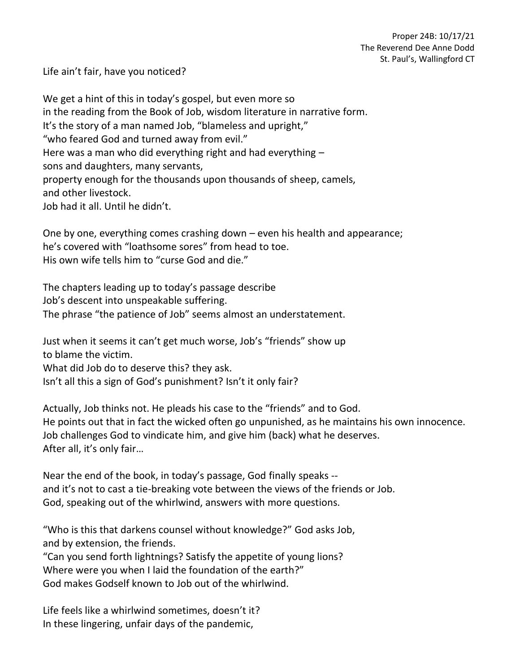Life ain't fair, have you noticed?

We get a hint of this in today's gospel, but even more so in the reading from the Book of Job, wisdom literature in narrative form. It's the story of a man named Job, "blameless and upright," "who feared God and turned away from evil." Here was a man who did everything right and had everything – sons and daughters, many servants, property enough for the thousands upon thousands of sheep, camels, and other livestock. Job had it all. Until he didn't.

One by one, everything comes crashing down – even his health and appearance; he's covered with "loathsome sores" from head to toe. His own wife tells him to "curse God and die."

The chapters leading up to today's passage describe Job's descent into unspeakable suffering. The phrase "the patience of Job" seems almost an understatement.

Just when it seems it can't get much worse, Job's "friends" show up to blame the victim. What did Job do to deserve this? they ask. Isn't all this a sign of God's punishment? Isn't it only fair?

Actually, Job thinks not. He pleads his case to the "friends" and to God. He points out that in fact the wicked often go unpunished, as he maintains his own innocence. Job challenges God to vindicate him, and give him (back) what he deserves. After all, it's only fair…

Near the end of the book, in today's passage, God finally speaks - and it's not to cast a tie-breaking vote between the views of the friends or Job. God, speaking out of the whirlwind, answers with more questions.

"Who is this that darkens counsel without knowledge?" God asks Job, and by extension, the friends.

"Can you send forth lightnings? Satisfy the appetite of young lions? Where were you when I laid the foundation of the earth?" God makes Godself known to Job out of the whirlwind.

Life feels like a whirlwind sometimes, doesn't it? In these lingering, unfair days of the pandemic,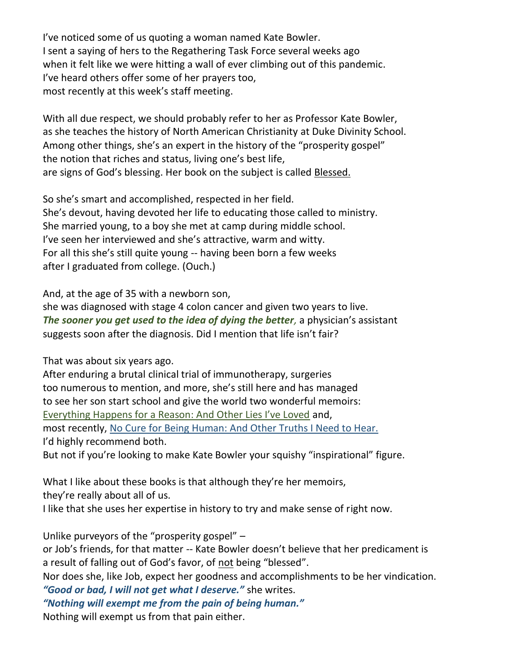I've noticed some of us quoting a woman named Kate Bowler. I sent a saying of hers to the Regathering Task Force several weeks ago when it felt like we were hitting a wall of ever climbing out of this pandemic. I've heard others offer some of her prayers too, most recently at this week's staff meeting.

With all due respect, we should probably refer to her as Professor Kate Bowler, as she teaches the history of North American Christianity at Duke Divinity School. Among other things, she's an expert in the history of the "prosperity gospel" the notion that riches and status, living one's best life, are signs of God's blessing. Her book on the subject is called Blessed.

So she's smart and accomplished, respected in her field. She's devout, having devoted her life to educating those called to ministry. She married young, to a boy she met at camp during middle school. I've seen her interviewed and she's attractive, warm and witty. For all this she's still quite young -- having been born a few weeks after I graduated from college. (Ouch.)

And, at the age of 35 with a newborn son,

she was diagnosed with stage 4 colon cancer and given two years to live. *The sooner you get used to the idea of dying the better,* a physician's assistant suggests soon after the diagnosis. Did I mention that life isn't fair?

That was about six years ago.

After enduring a brutal clinical trial of immunotherapy, surgeries too numerous to mention, and more, she's still here and has managed to see her son start school and give the world two wonderful memoirs: Everything Happens for a Reason: And Other Lies I've Loved and, most recently, No Cure for Being Human: And Other Truths I Need to Hear. I'd highly recommend both.

But not if you're looking to make Kate Bowler your squishy "inspirational" figure.

What I like about these books is that although they're her memoirs, they're really about all of us.

I like that she uses her expertise in history to try and make sense of right now.

Unlike purveyors of the "prosperity gospel" –

or Job's friends, for that matter -- Kate Bowler doesn't believe that her predicament is a result of falling out of God's favor, of not being "blessed".

Nor does she, like Job, expect her goodness and accomplishments to be her vindication. *"Good or bad, I will not get what I deserve."* she writes.

*"Nothing will exempt me from the pain of being human."*

Nothing will exempt us from that pain either.